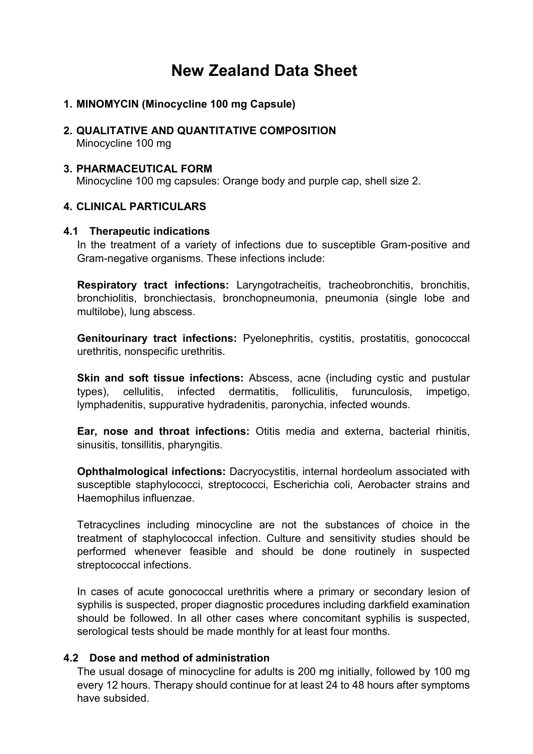# **New Zealand Data Sheet**

- **1. MINOMYCIN (Minocycline 100 mg Capsule)**
- **2. QUALITATIVE AND QUANTITATIVE COMPOSITION** Minocycline 100 mg
- **3. PHARMACEUTICAL FORM** Minocycline 100 mg capsules: Orange body and purple cap, shell size 2.

# **4. CLINICAL PARTICULARS**

#### **4.1 Therapeutic indications**

In the treatment of a variety of infections due to susceptible Gram-positive and Gram-negative organisms. These infections include:

**Respiratory tract infections:** Laryngotracheitis, tracheobronchitis, bronchitis, bronchiolitis, bronchiectasis, bronchopneumonia, pneumonia (single lobe and multilobe), lung abscess.

**Genitourinary tract infections:** Pyelonephritis, cystitis, prostatitis, gonococcal urethritis, nonspecific urethritis.

**Skin and soft tissue infections:** Abscess, acne (including cystic and pustular types), cellulitis, infected dermatitis, folliculitis, furunculosis, impetigo, lymphadenitis, suppurative hydradenitis, paronychia, infected wounds.

**Ear, nose and throat infections:** Otitis media and externa, bacterial rhinitis, sinusitis, tonsillitis, pharyngitis.

**Ophthalmological infections:** Dacryocystitis, internal hordeolum associated with susceptible staphylococci, streptococci, Escherichia coli, Aerobacter strains and Haemophilus influenzae.

Tetracyclines including minocycline are not the substances of choice in the treatment of staphylococcal infection. Culture and sensitivity studies should be performed whenever feasible and should be done routinely in suspected streptococcal infections.

In cases of acute gonococcal urethritis where a primary or secondary lesion of syphilis is suspected, proper diagnostic procedures including darkfield examination should be followed. In all other cases where concomitant syphilis is suspected, serological tests should be made monthly for at least four months.

#### **4.2 Dose and method of administration**

The usual dosage of minocycline for adults is 200 mg initially, followed by 100 mg every 12 hours. Therapy should continue for at least 24 to 48 hours after symptoms have subsided.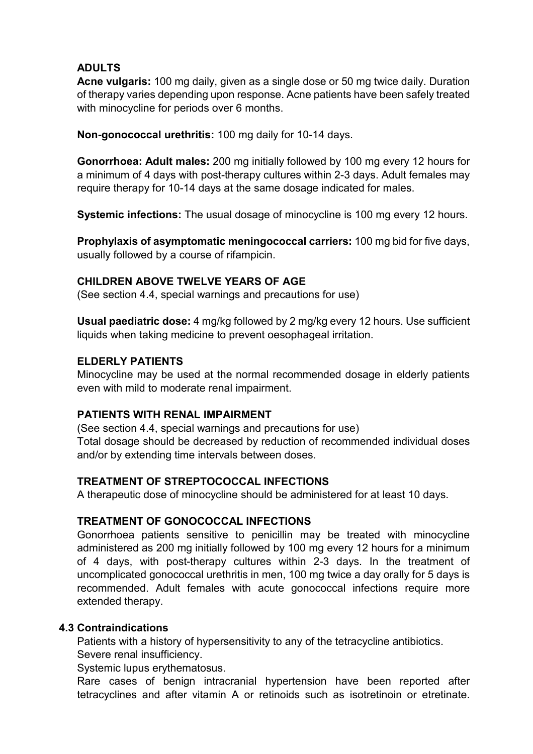# **ADULTS**

**Acne vulgaris:** 100 mg daily, given as a single dose or 50 mg twice daily. Duration of therapy varies depending upon response. Acne patients have been safely treated with minocycline for periods over 6 months.

**Non-gonococcal urethritis:** 100 mg daily for 10-14 days.

**Gonorrhoea: Adult males:** 200 mg initially followed by 100 mg every 12 hours for a minimum of 4 days with post-therapy cultures within 2-3 days. Adult females may require therapy for 10-14 days at the same dosage indicated for males.

**Systemic infections:** The usual dosage of minocycline is 100 mg every 12 hours.

**Prophylaxis of asymptomatic meningococcal carriers:** 100 mg bid for five days, usually followed by a course of rifampicin.

# **CHILDREN ABOVE TWELVE YEARS OF AGE**

(See section 4.4, special warnings and precautions for use)

**Usual paediatric dose:** 4 mg/kg followed by 2 mg/kg every 12 hours. Use sufficient liquids when taking medicine to prevent oesophageal irritation.

#### **ELDERLY PATIENTS**

Minocycline may be used at the normal recommended dosage in elderly patients even with mild to moderate renal impairment.

#### **PATIENTS WITH RENAL IMPAIRMENT**

(See section 4.4, special warnings and precautions for use) Total dosage should be decreased by reduction of recommended individual doses and/or by extending time intervals between doses.

#### **TREATMENT OF STREPTOCOCCAL INFECTIONS**

A therapeutic dose of minocycline should be administered for at least 10 days.

#### **TREATMENT OF GONOCOCCAL INFECTIONS**

Gonorrhoea patients sensitive to penicillin may be treated with minocycline administered as 200 mg initially followed by 100 mg every 12 hours for a minimum of 4 days, with post-therapy cultures within 2-3 days. In the treatment of uncomplicated gonococcal urethritis in men, 100 mg twice a day orally for 5 days is recommended. Adult females with acute gonococcal infections require more extended therapy.

#### **4.3 Contraindications**

Patients with a history of hypersensitivity to any of the tetracycline antibiotics. Severe renal insufficiency.

Systemic lupus erythematosus.

Rare cases of benign intracranial hypertension have been reported after tetracyclines and after vitamin A or retinoids such as isotretinoin or etretinate.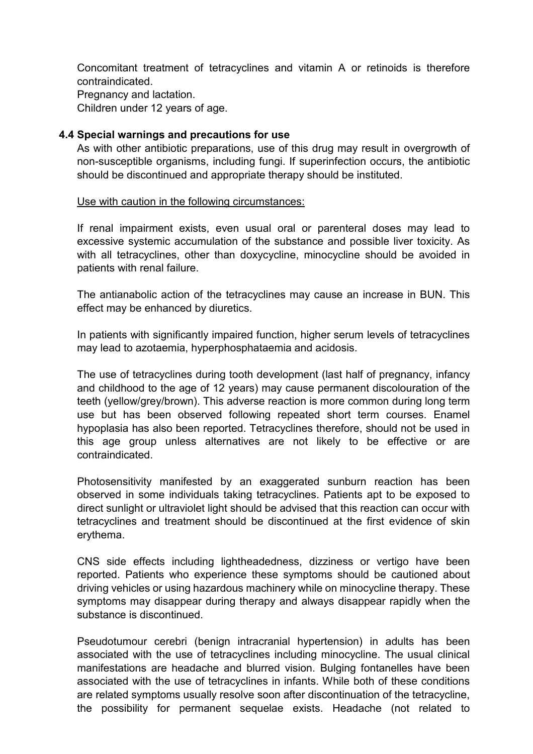Concomitant treatment of tetracyclines and vitamin A or retinoids is therefore contraindicated.

Pregnancy and lactation. Children under 12 years of age.

#### **4.4 Special warnings and precautions for use**

As with other antibiotic preparations, use of this drug may result in overgrowth of non-susceptible organisms, including fungi. If superinfection occurs, the antibiotic should be discontinued and appropriate therapy should be instituted.

Use with caution in the following circumstances:

If renal impairment exists, even usual oral or parenteral doses may lead to excessive systemic accumulation of the substance and possible liver toxicity. As with all tetracyclines, other than doxycycline, minocycline should be avoided in patients with renal failure.

The antianabolic action of the tetracyclines may cause an increase in BUN. This effect may be enhanced by diuretics.

In patients with significantly impaired function, higher serum levels of tetracyclines may lead to azotaemia, hyperphosphataemia and acidosis.

The use of tetracyclines during tooth development (last half of pregnancy, infancy and childhood to the age of 12 years) may cause permanent discolouration of the teeth (yellow/grey/brown). This adverse reaction is more common during long term use but has been observed following repeated short term courses. Enamel hypoplasia has also been reported. Tetracyclines therefore, should not be used in this age group unless alternatives are not likely to be effective or are contraindicated.

Photosensitivity manifested by an exaggerated sunburn reaction has been observed in some individuals taking tetracyclines. Patients apt to be exposed to direct sunlight or ultraviolet light should be advised that this reaction can occur with tetracyclines and treatment should be discontinued at the first evidence of skin erythema.

CNS side effects including lightheadedness, dizziness or vertigo have been reported. Patients who experience these symptoms should be cautioned about driving vehicles or using hazardous machinery while on minocycline therapy. These symptoms may disappear during therapy and always disappear rapidly when the substance is discontinued.

Pseudotumour cerebri (benign intracranial hypertension) in adults has been associated with the use of tetracyclines including minocycline. The usual clinical manifestations are headache and blurred vision. Bulging fontanelles have been associated with the use of tetracyclines in infants. While both of these conditions are related symptoms usually resolve soon after discontinuation of the tetracycline, the possibility for permanent sequelae exists. Headache (not related to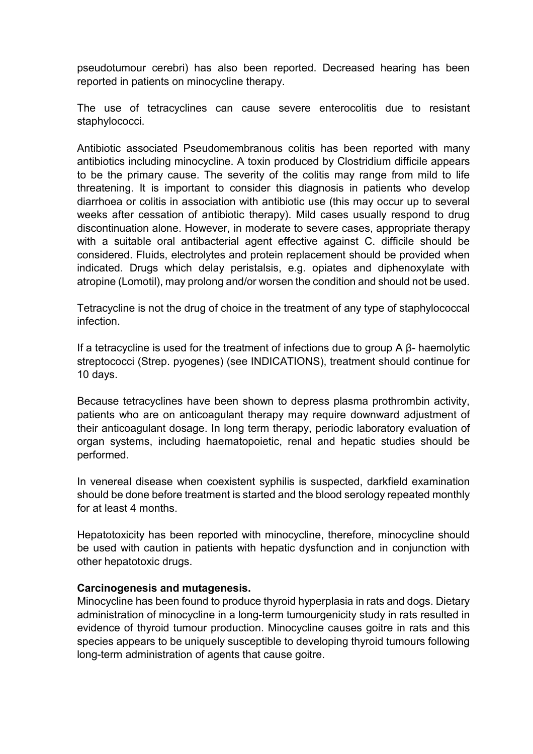pseudotumour cerebri) has also been reported. Decreased hearing has been reported in patients on minocycline therapy.

The use of tetracyclines can cause severe enterocolitis due to resistant staphylococci.

Antibiotic associated Pseudomembranous colitis has been reported with many antibiotics including minocycline. A toxin produced by Clostridium difficile appears to be the primary cause. The severity of the colitis may range from mild to life threatening. It is important to consider this diagnosis in patients who develop diarrhoea or colitis in association with antibiotic use (this may occur up to several weeks after cessation of antibiotic therapy). Mild cases usually respond to drug discontinuation alone. However, in moderate to severe cases, appropriate therapy with a suitable oral antibacterial agent effective against C. difficile should be considered. Fluids, electrolytes and protein replacement should be provided when indicated. Drugs which delay peristalsis, e.g. opiates and diphenoxylate with atropine (Lomotil), may prolong and/or worsen the condition and should not be used.

Tetracycline is not the drug of choice in the treatment of any type of staphylococcal infection.

If a tetracycline is used for the treatment of infections due to group A β- haemolytic streptococci (Strep. pyogenes) (see INDICATIONS), treatment should continue for 10 days.

Because tetracyclines have been shown to depress plasma prothrombin activity, patients who are on anticoagulant therapy may require downward adjustment of their anticoagulant dosage. In long term therapy, periodic laboratory evaluation of organ systems, including haematopoietic, renal and hepatic studies should be performed.

In venereal disease when coexistent syphilis is suspected, darkfield examination should be done before treatment is started and the blood serology repeated monthly for at least 4 months.

Hepatotoxicity has been reported with minocycline, therefore, minocycline should be used with caution in patients with hepatic dysfunction and in conjunction with other hepatotoxic drugs.

#### **Carcinogenesis and mutagenesis.**

Minocycline has been found to produce thyroid hyperplasia in rats and dogs. Dietary administration of minocycline in a long-term tumourgenicity study in rats resulted in evidence of thyroid tumour production. Minocycline causes goitre in rats and this species appears to be uniquely susceptible to developing thyroid tumours following long-term administration of agents that cause goitre.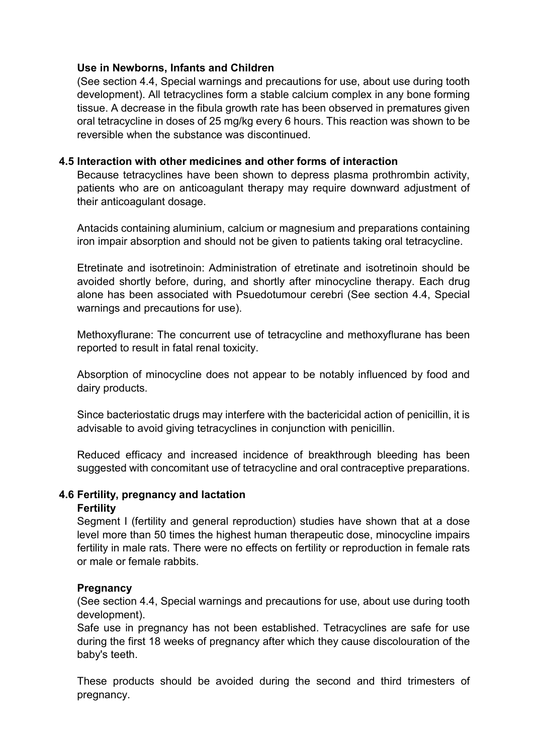#### **Use in Newborns, Infants and Children**

(See section 4.4, Special warnings and precautions for use, about use during tooth development). All tetracyclines form a stable calcium complex in any bone forming tissue. A decrease in the fibula growth rate has been observed in prematures given oral tetracycline in doses of 25 mg/kg every 6 hours. This reaction was shown to be reversible when the substance was discontinued.

# **4.5 Interaction with other medicines and other forms of interaction**

Because tetracyclines have been shown to depress plasma prothrombin activity, patients who are on anticoagulant therapy may require downward adjustment of their anticoagulant dosage.

Antacids containing aluminium, calcium or magnesium and preparations containing iron impair absorption and should not be given to patients taking oral tetracycline.

Etretinate and isotretinoin: Administration of etretinate and isotretinoin should be avoided shortly before, during, and shortly after minocycline therapy. Each drug alone has been associated with Psuedotumour cerebri (See section 4.4, Special warnings and precautions for use).

Methoxyflurane: The concurrent use of tetracycline and methoxyflurane has been reported to result in fatal renal toxicity.

Absorption of minocycline does not appear to be notably influenced by food and dairy products.

Since bacteriostatic drugs may interfere with the bactericidal action of penicillin, it is advisable to avoid giving tetracyclines in conjunction with penicillin.

Reduced efficacy and increased incidence of breakthrough bleeding has been suggested with concomitant use of tetracycline and oral contraceptive preparations.

#### **4.6 Fertility, pregnancy and lactation Fertility**

Segment I (fertility and general reproduction) studies have shown that at a dose level more than 50 times the highest human therapeutic dose, minocycline impairs fertility in male rats. There were no effects on fertility or reproduction in female rats or male or female rabbits.

# **Pregnancy**

(See section 4.4, Special warnings and precautions for use, about use during tooth development).

Safe use in pregnancy has not been established. Tetracyclines are safe for use during the first 18 weeks of pregnancy after which they cause discolouration of the baby's teeth.

These products should be avoided during the second and third trimesters of pregnancy.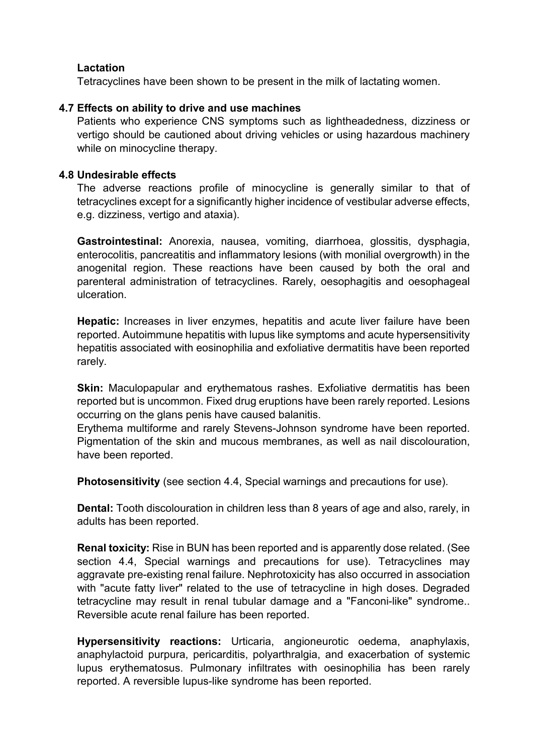# **Lactation**

Tetracyclines have been shown to be present in the milk of lactating women.

# **4.7 Effects on ability to drive and use machines**

Patients who experience CNS symptoms such as lightheadedness, dizziness or vertigo should be cautioned about driving vehicles or using hazardous machinery while on minocycline therapy.

### **4.8 Undesirable effects**

The adverse reactions profile of minocycline is generally similar to that of tetracyclines except for a significantly higher incidence of vestibular adverse effects, e.g. dizziness, vertigo and ataxia).

**Gastrointestinal:** Anorexia, nausea, vomiting, diarrhoea, glossitis, dysphagia, enterocolitis, pancreatitis and inflammatory lesions (with monilial overgrowth) in the anogenital region. These reactions have been caused by both the oral and parenteral administration of tetracyclines. Rarely, oesophagitis and oesophageal ulceration.

**Hepatic:** Increases in liver enzymes, hepatitis and acute liver failure have been reported. Autoimmune hepatitis with lupus like symptoms and acute hypersensitivity hepatitis associated with eosinophilia and exfoliative dermatitis have been reported rarely.

**Skin:** Maculopapular and erythematous rashes. Exfoliative dermatitis has been reported but is uncommon. Fixed drug eruptions have been rarely reported. Lesions occurring on the glans penis have caused balanitis.

Erythema multiforme and rarely Stevens-Johnson syndrome have been reported. Pigmentation of the skin and mucous membranes, as well as nail discolouration, have been reported.

**Photosensitivity** (see section 4.4, Special warnings and precautions for use).

**Dental:** Tooth discolouration in children less than 8 years of age and also, rarely, in adults has been reported.

**Renal toxicity:** Rise in BUN has been reported and is apparently dose related. (See section 4.4, Special warnings and precautions for use). Tetracyclines may aggravate pre-existing renal failure. Nephrotoxicity has also occurred in association with "acute fatty liver" related to the use of tetracycline in high doses. Degraded tetracycline may result in renal tubular damage and a "Fanconi-like" syndrome.. Reversible acute renal failure has been reported.

**Hypersensitivity reactions:** Urticaria, angioneurotic oedema, anaphylaxis, anaphylactoid purpura, pericarditis, polyarthralgia, and exacerbation of systemic lupus erythematosus. Pulmonary infiltrates with oesinophilia has been rarely reported. A reversible lupus-like syndrome has been reported.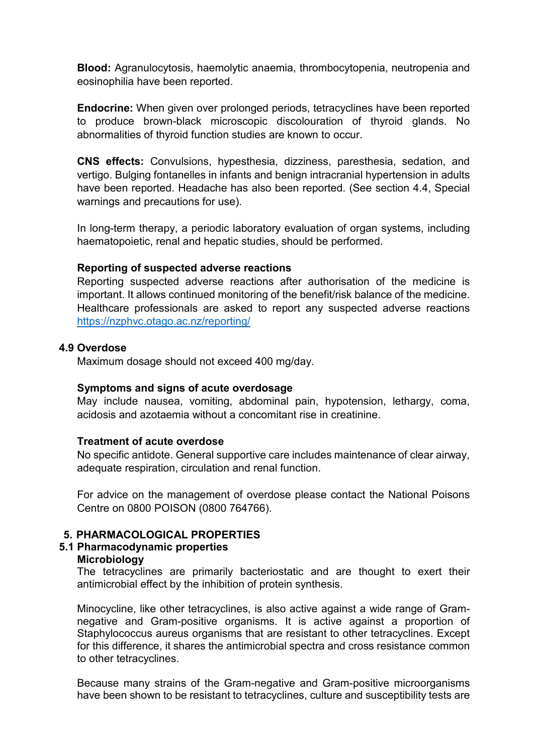**Blood:** Agranulocytosis, haemolytic anaemia, thrombocytopenia, neutropenia and eosinophilia have been reported.

**Endocrine:** When given over prolonged periods, tetracyclines have been reported to produce brown-black microscopic discolouration of thyroid glands. No abnormalities of thyroid function studies are known to occur.

**CNS effects:** Convulsions, hypesthesia, dizziness, paresthesia, sedation, and vertigo. Bulging fontanelles in infants and benign intracranial hypertension in adults have been reported. Headache has also been reported. (See section 4.4, Special warnings and precautions for use).

In long-term therapy, a periodic laboratory evaluation of organ systems, including haematopoietic, renal and hepatic studies, should be performed.

#### **Reporting of suspected adverse reactions**

Reporting suspected adverse reactions after authorisation of the medicine is important. It allows continued monitoring of the benefit/risk balance of the medicine. Healthcare professionals are asked to report any suspected adverse reactions <https://nzphvc.otago.ac.nz/reporting/>

#### **4.9 Overdose**

Maximum dosage should not exceed 400 mg/day.

#### **Symptoms and signs of acute overdosage**

May include nausea, vomiting, abdominal pain, hypotension, lethargy, coma, acidosis and azotaemia without a concomitant rise in creatinine.

#### **Treatment of acute overdose**

No specific antidote. General supportive care includes maintenance of clear airway, adequate respiration, circulation and renal function.

For advice on the management of overdose please contact the National Poisons Centre on 0800 POISON (0800 764766).

#### **5. PHARMACOLOGICAL PROPERTIES**

#### **5.1 Pharmacodynamic properties**

#### **Microbiology**

The tetracyclines are primarily bacteriostatic and are thought to exert their antimicrobial effect by the inhibition of protein synthesis.

Minocycline, like other tetracyclines, is also active against a wide range of Gramnegative and Gram-positive organisms. It is active against a proportion of Staphylococcus aureus organisms that are resistant to other tetracyclines. Except for this difference, it shares the antimicrobial spectra and cross resistance common to other tetracyclines.

Because many strains of the Gram-negative and Gram-positive microorganisms have been shown to be resistant to tetracyclines, culture and susceptibility tests are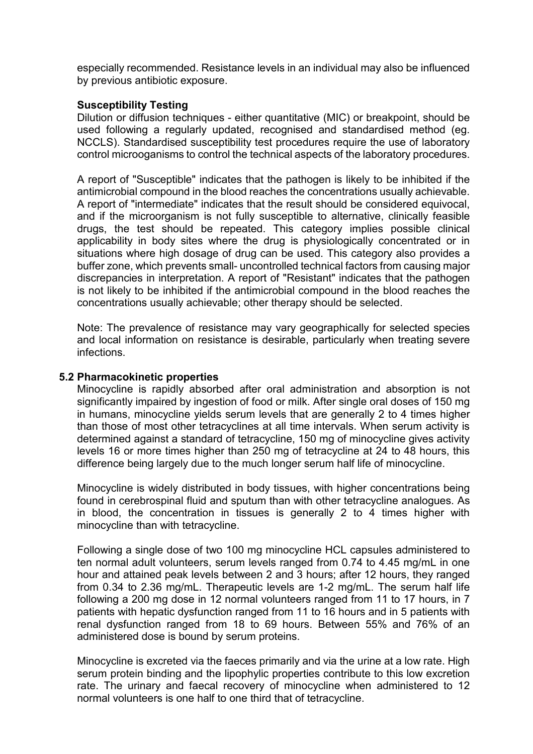especially recommended. Resistance levels in an individual may also be influenced by previous antibiotic exposure.

### **Susceptibility Testing**

Dilution or diffusion techniques - either quantitative (MIC) or breakpoint, should be used following a regularly updated, recognised and standardised method (eg. NCCLS). Standardised susceptibility test procedures require the use of laboratory control microoganisms to control the technical aspects of the laboratory procedures.

A report of "Susceptible" indicates that the pathogen is likely to be inhibited if the antimicrobial compound in the blood reaches the concentrations usually achievable. A report of "intermediate" indicates that the result should be considered equivocal, and if the microorganism is not fully susceptible to alternative, clinically feasible drugs, the test should be repeated. This category implies possible clinical applicability in body sites where the drug is physiologically concentrated or in situations where high dosage of drug can be used. This category also provides a buffer zone, which prevents small- uncontrolled technical factors from causing major discrepancies in interpretation. A report of "Resistant" indicates that the pathogen is not likely to be inhibited if the antimicrobial compound in the blood reaches the concentrations usually achievable; other therapy should be selected.

Note: The prevalence of resistance may vary geographically for selected species and local information on resistance is desirable, particularly when treating severe infections.

#### **5.2 Pharmacokinetic properties**

Minocycline is rapidly absorbed after oral administration and absorption is not significantly impaired by ingestion of food or milk. After single oral doses of 150 mg in humans, minocycline yields serum levels that are generally 2 to 4 times higher than those of most other tetracyclines at all time intervals. When serum activity is determined against a standard of tetracycline, 150 mg of minocycline gives activity levels 16 or more times higher than 250 mg of tetracycline at 24 to 48 hours, this difference being largely due to the much longer serum half life of minocycline.

Minocycline is widely distributed in body tissues, with higher concentrations being found in cerebrospinal fluid and sputum than with other tetracycline analogues. As in blood, the concentration in tissues is generally 2 to 4 times higher with minocycline than with tetracycline.

Following a single dose of two 100 mg minocycline HCL capsules administered to ten normal adult volunteers, serum levels ranged from 0.74 to 4.45 mg/mL in one hour and attained peak levels between 2 and 3 hours; after 12 hours, they ranged from 0.34 to 2.36 mg/mL. Therapeutic levels are 1-2 mg/mL. The serum half life following a 200 mg dose in 12 normal volunteers ranged from 11 to 17 hours, in 7 patients with hepatic dysfunction ranged from 11 to 16 hours and in 5 patients with renal dysfunction ranged from 18 to 69 hours. Between 55% and 76% of an administered dose is bound by serum proteins.

Minocycline is excreted via the faeces primarily and via the urine at a low rate. High serum protein binding and the lipophylic properties contribute to this low excretion rate. The urinary and faecal recovery of minocycline when administered to 12 normal volunteers is one half to one third that of tetracycline.